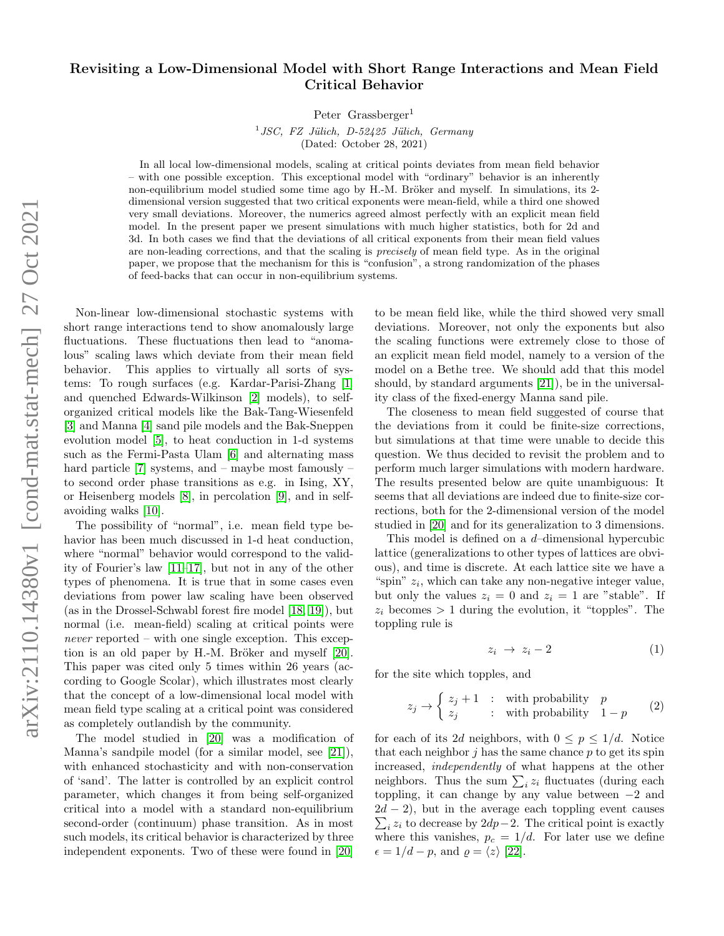## Revisiting a Low-Dimensional Model with Short Range Interactions and Mean Field Critical Behavior

Peter  $Grassberger<sup>1</sup>$ 

 $1 JSC$ , FZ Jülich, D-52425 Jülich, Germany (Dated: October 28, 2021)

In all local low-dimensional models, scaling at critical points deviates from mean field behavior – with one possible exception. This exceptional model with "ordinary" behavior is an inherently non-equilibrium model studied some time ago by H.-M. Bröker and myself. In simulations, its 2dimensional version suggested that two critical exponents were mean-field, while a third one showed very small deviations. Moreover, the numerics agreed almost perfectly with an explicit mean field model. In the present paper we present simulations with much higher statistics, both for 2d and 3d. In both cases we find that the deviations of all critical exponents from their mean field values are non-leading corrections, and that the scaling is precisely of mean field type. As in the original paper, we propose that the mechanism for this is "confusion", a strong randomization of the phases of feed-backs that can occur in non-equilibrium systems.

Non-linear low-dimensional stochastic systems with short range interactions tend to show anomalously large fluctuations. These fluctuations then lead to "anomalous" scaling laws which deviate from their mean field behavior. This applies to virtually all sorts of systems: To rough surfaces (e.g. Kardar-Parisi-Zhang [\[1\]](#page-4-0) and quenched Edwards-Wilkinson [\[2\]](#page-4-1) models), to selforganized critical models like the Bak-Tang-Wiesenfeld [\[3\]](#page-4-2) and Manna [\[4\]](#page-4-3) sand pile models and the Bak-Sneppen evolution model [\[5\]](#page-4-4), to heat conduction in 1-d systems such as the Fermi-Pasta Ulam [\[6\]](#page-4-5) and alternating mass hard particle [\[7\]](#page-4-6) systems, and – maybe most famously – to second order phase transitions as e.g. in Ising, XY, or Heisenberg models [\[8\]](#page-4-7), in percolation [\[9\]](#page-4-8), and in selfavoiding walks [\[10\]](#page-4-9).

The possibility of "normal", i.e. mean field type behavior has been much discussed in 1-d heat conduction, where "normal" behavior would correspond to the validity of Fourier's law [\[11](#page-4-10)[–17\]](#page-4-11), but not in any of the other types of phenomena. It is true that in some cases even deviations from power law scaling have been observed (as in the Drossel-Schwabl forest fire model [\[18,](#page-4-12) [19\]](#page-4-13)), but normal (i.e. mean-field) scaling at critical points were never reported – with one single exception. This exception is an old paper by H.-M. Bröker and myself  $[20]$ . This paper was cited only 5 times within 26 years (according to Google Scolar), which illustrates most clearly that the concept of a low-dimensional local model with mean field type scaling at a critical point was considered as completely outlandish by the community.

The model studied in [\[20\]](#page-4-14) was a modification of Manna's sandpile model (for a similar model, see [\[21\]](#page-4-15)), with enhanced stochasticity and with non-conservation of 'sand'. The latter is controlled by an explicit control parameter, which changes it from being self-organized critical into a model with a standard non-equilibrium second-order (continuum) phase transition. As in most such models, its critical behavior is characterized by three independent exponents. Two of these were found in [\[20\]](#page-4-14)

to be mean field like, while the third showed very small deviations. Moreover, not only the exponents but also the scaling functions were extremely close to those of an explicit mean field model, namely to a version of the model on a Bethe tree. We should add that this model should, by standard arguments [\[21\]](#page-4-15)), be in the universality class of the fixed-energy Manna sand pile.

The closeness to mean field suggested of course that the deviations from it could be finite-size corrections, but simulations at that time were unable to decide this question. We thus decided to revisit the problem and to perform much larger simulations with modern hardware. The results presented below are quite unambiguous: It seems that all deviations are indeed due to finite-size corrections, both for the 2-dimensional version of the model studied in [\[20\]](#page-4-14) and for its generalization to 3 dimensions.

This model is defined on a d–dimensional hypercubic lattice (generalizations to other types of lattices are obvious), and time is discrete. At each lattice site we have a "spin"  $z_i$ , which can take any non-negative integer value, but only the values  $z_i = 0$  and  $z_i = 1$  are "stable". If  $z_i$  becomes  $> 1$  during the evolution, it "topples". The toppling rule is

$$
z_i \to z_i - 2 \tag{1}
$$

for the site which topples, and

$$
z_j \to \begin{cases} z_j + 1 & : \text{ with probability} \quad p \\ z_j & : \text{ with probability} \quad 1 - p \end{cases} \tag{2}
$$

for each of its 2d neighbors, with  $0 \leq p \leq 1/d$ . Notice that each neighbor  $j$  has the same chance  $p$  to get its spin increased, independently of what happens at the other neighbors. Thus the sum  $\sum_i z_i$  fluctuates (during each toppling, it can change by any value between  $-2$  and  $2d - 2$ , but in the average each toppling event causes  $\sum_i z_i$  to decrease by 2dp−2. The critical point is exactly where this vanishes,  $p_c = 1/d$ . For later use we define  $\epsilon = 1/d - p$ , and  $\rho = \langle z \rangle$  [\[22\]](#page-4-16).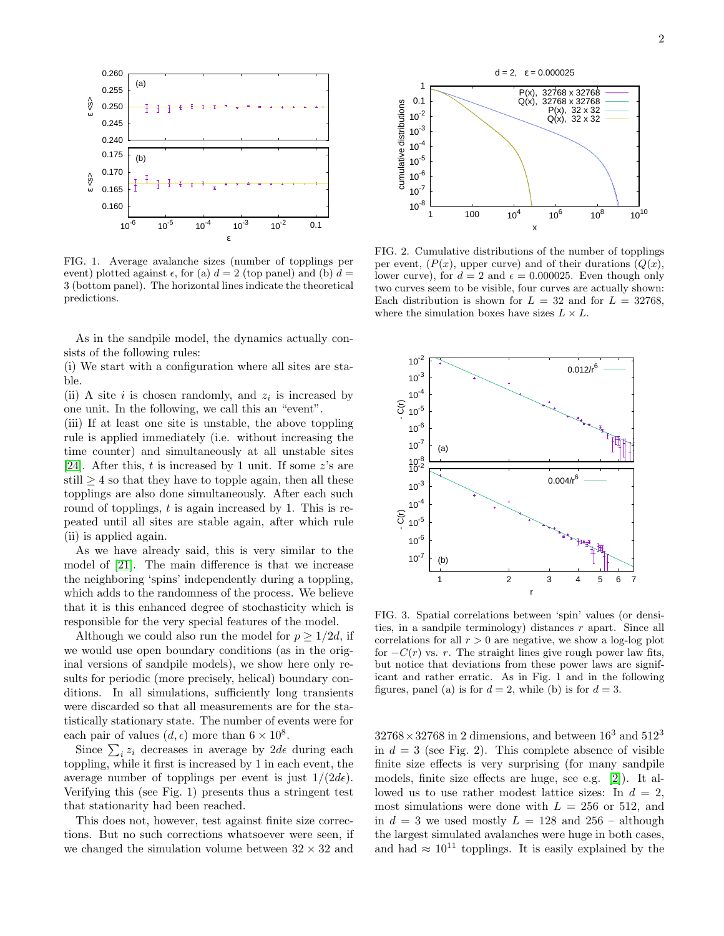

FIG. 1. Average avalanche sizes (number of topplings per event) plotted against  $\epsilon$ , for (a)  $d = 2$  (top panel) and (b)  $d =$ 3 (bottom panel). The horizontal lines indicate the theoretical predictions.

As in the sandpile model, the dynamics actually consists of the following rules:

(i) We start with a configuration where all sites are stable.

(ii) A site  $i$  is chosen randomly, and  $z_i$  is increased by one unit. In the following, we call this an "event".

(iii) If at least one site is unstable, the above toppling rule is applied immediately (i.e. without increasing the time counter) and simultaneously at all unstable sites [\[24\]](#page-4-17). After this,  $t$  is increased by 1 unit. If some  $z$ 's are still  $\geq 4$  so that they have to topple again, then all these topplings are also done simultaneously. After each such round of topplings,  $t$  is again increased by 1. This is repeated until all sites are stable again, after which rule (ii) is applied again.

As we have already said, this is very similar to the model of [\[21\]](#page-4-15). The main difference is that we increase the neighboring 'spins' independently during a toppling, which adds to the randomness of the process. We believe that it is this enhanced degree of stochasticity which is responsible for the very special features of the model.

Although we could also run the model for  $p \geq 1/2d$ , if we would use open boundary conditions (as in the original versions of sandpile models), we show here only results for periodic (more precisely, helical) boundary conditions. In all simulations, sufficiently long transients were discarded so that all measurements are for the statistically stationary state. The number of events were for each pair of values  $(d, \epsilon)$  more than  $6 \times 10^8$ .

Since  $\sum_i z_i$  decreases in average by  $2d\epsilon$  during each toppling, while it first is increased by 1 in each event, the average number of topplings per event is just  $1/(2d\epsilon)$ . Verifying this (see Fig. 1) presents thus a stringent test that stationarity had been reached.

This does not, however, test against finite size corrections. But no such corrections whatsoever were seen, if we changed the simulation volume between  $32 \times 32$  and



FIG. 2. Cumulative distributions of the number of topplings per event,  $(P(x))$ , upper curve) and of their durations  $(Q(x))$ , lower curve), for  $d = 2$  and  $\epsilon = 0.000025$ . Even though only two curves seem to be visible, four curves are actually shown: Each distribution is shown for  $L = 32$  and for  $L = 32768$ , where the simulation boxes have sizes  $L \times L$ .



FIG. 3. Spatial correlations between 'spin' values (or densities, in a sandpile terminology) distances r apart. Since all correlations for all  $r > 0$  are negative, we show a log-log plot for  $-C(r)$  vs. r. The straight lines give rough power law fits, but notice that deviations from these power laws are significant and rather erratic. As in Fig. 1 and in the following figures, panel (a) is for  $d = 2$ , while (b) is for  $d = 3$ .

 $32768 \times 32768$  in 2 dimensions, and between  $16<sup>3</sup>$  and  $512<sup>3</sup>$ in  $d = 3$  (see Fig. 2). This complete absence of visible finite size effects is very surprising (for many sandpile models, finite size effects are huge, see e.g. [\[2\]](#page-4-1)). It allowed us to use rather modest lattice sizes: In  $d = 2$ , most simulations were done with  $L = 256$  or 512, and in  $d = 3$  we used mostly  $L = 128$  and  $256$  – although the largest simulated avalanches were huge in both cases, and had  $\approx 10^{11}$  topplings. It is easily explained by the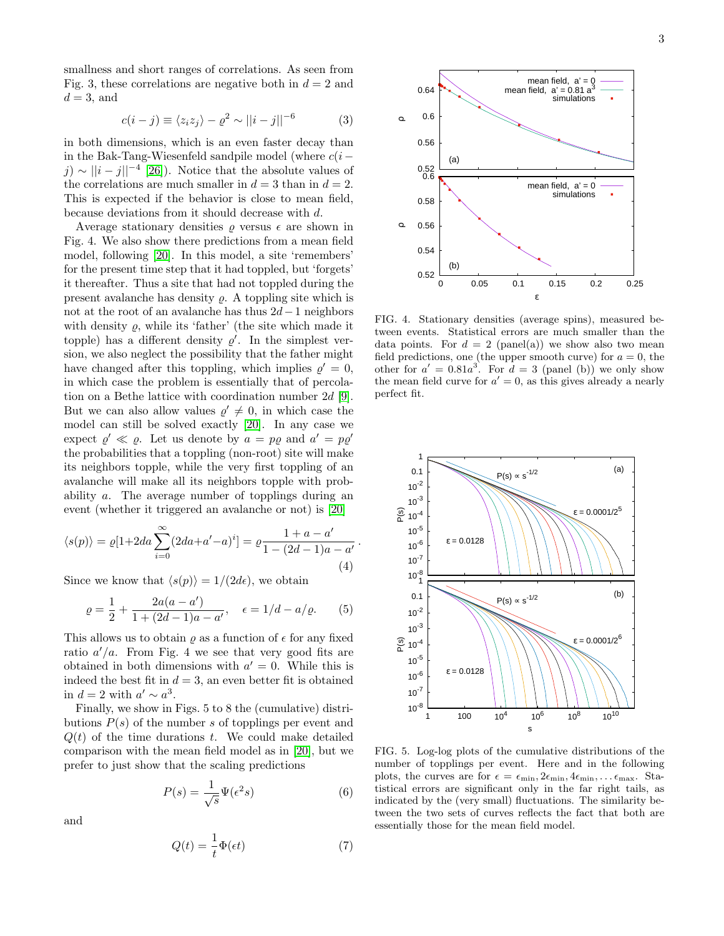smallness and short ranges of correlations. As seen from Fig. 3, these correlations are negative both in  $d = 2$  and  $d = 3$ , and

$$
c(i-j) \equiv \langle z_i z_j \rangle - \varrho^2 \sim ||i-j||^{-6} \tag{3}
$$

in both dimensions, which is an even faster decay than in the Bak-Tang-Wiesenfeld sandpile model (where  $c(i$ j) ~  $||i - j||^{-4}$  [\[26\]](#page-4-18)). Notice that the absolute values of the correlations are much smaller in  $d = 3$  than in  $d = 2$ . This is expected if the behavior is close to mean field, because deviations from it should decrease with d.

Average stationary densities  $\rho$  versus  $\epsilon$  are shown in Fig. 4. We also show there predictions from a mean field model, following [\[20\]](#page-4-14). In this model, a site 'remembers' for the present time step that it had toppled, but 'forgets' it thereafter. Thus a site that had not toppled during the present avalanche has density  $\rho$ . A toppling site which is not at the root of an avalanche has thus 2d−1 neighbors with density  $\rho$ , while its 'father' (the site which made it topple) has a different density  $\varrho'$ . In the simplest version, we also neglect the possibility that the father might have changed after this toppling, which implies  $\rho' = 0$ , in which case the problem is essentially that of percolation on a Bethe lattice with coordination number 2d [\[9\]](#page-4-8). But we can also allow values  $\rho' \neq 0$ , in which case the model can still be solved exactly [\[20\]](#page-4-14). In any case we expect  $\rho' \ll \rho$ . Let us denote by  $a = p\varrho$  and  $a' = p\varrho'$ the probabilities that a toppling (non-root) site will make its neighbors topple, while the very first toppling of an avalanche will make all its neighbors topple with probability a. The average number of topplings during an event (whether it triggered an avalanche or not) is [\[20\]](#page-4-14)

$$
\langle s(p) \rangle = \varrho[1+2da \sum_{i=0}^{\infty} (2da + a' - a)^{i}] = \varrho \frac{1 + a - a'}{1 - (2d - 1)a - a'}
$$
\n(4)

.

Since we know that  $\langle s(p) \rangle = 1/(2d\epsilon)$ , we obtain

$$
\varrho = \frac{1}{2} + \frac{2a(a - a')}{1 + (2d - 1)a - a'}, \quad \epsilon = 1/d - a/\varrho.
$$
 (5)

This allows us to obtain  $\rho$  as a function of  $\epsilon$  for any fixed ratio  $a'/a$ . From Fig. 4 we see that very good fits are obtained in both dimensions with  $a' = 0$ . While this is indeed the best fit in  $d = 3$ , an even better fit is obtained in  $d = 2$  with  $a' \sim a^3$ .

Finally, we show in Figs. 5 to 8 the (cumulative) distributions  $P(s)$  of the number s of topplings per event and  $Q(t)$  of the time durations t. We could make detailed comparison with the mean field model as in [\[20\]](#page-4-14), but we prefer to just show that the scaling predictions

<span id="page-2-1"></span>
$$
P(s) = \frac{1}{\sqrt{s}} \Psi(\epsilon^2 s)
$$
 (6)

and

<span id="page-2-2"></span>
$$
Q(t) = \frac{1}{t}\Phi(\epsilon t)
$$
\n(7)



FIG. 4. Stationary densities (average spins), measured between events. Statistical errors are much smaller than the data points. For  $d = 2$  (panel(a)) we show also two mean field predictions, one (the upper smooth curve) for  $a = 0$ , the other for  $a' = 0.81a^3$ . For  $d = 3$  (panel (b)) we only show the mean field curve for  $a' = 0$ , as this gives already a nearly perfect fit.



<span id="page-2-0"></span>FIG. 5. Log-log plots of the cumulative distributions of the number of topplings per event. Here and in the following plots, the curves are for  $\epsilon = \epsilon_{\min}, 2\epsilon_{\min}, 4\epsilon_{\min}, \dots \epsilon_{\max}$ . Statistical errors are significant only in the far right tails, as indicated by the (very small) fluctuations. The similarity between the two sets of curves reflects the fact that both are essentially those for the mean field model.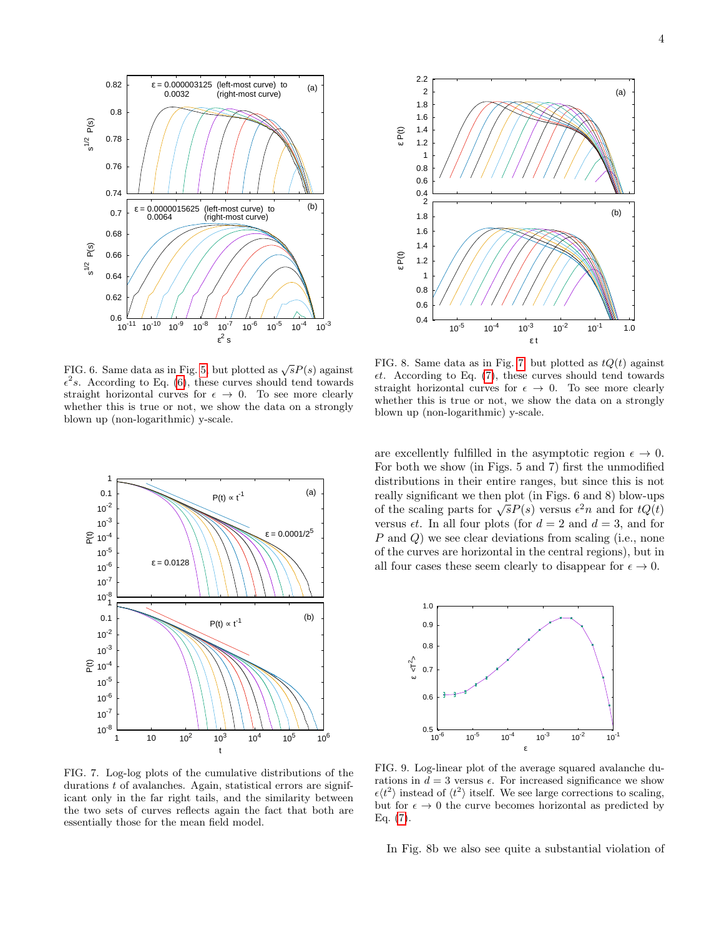

FIG. 6. Same data as in Fig. [5,](#page-2-0) but plotted as  $\sqrt{s}P(s)$  against  $\epsilon^2 s$ . According to Eq. [\(6\)](#page-2-1), these curves should tend towards straight horizontal curves for  $\epsilon \to 0$ . To see more clearly whether this is true or not, we show the data on a strongly blown up (non-logarithmic) y-scale.



<span id="page-3-0"></span>FIG. 7. Log-log plots of the cumulative distributions of the durations t of avalanches. Again, statistical errors are significant only in the far right tails, and the similarity between the two sets of curves reflects again the fact that both are essentially those for the mean field model.



FIG. 8. Same data as in Fig. [7,](#page-3-0) but plotted as  $tQ(t)$  against  $et.$  According to Eq. [\(7\)](#page-2-2), these curves should tend towards straight horizontal curves for  $\epsilon \to 0$ . To see more clearly whether this is true or not, we show the data on a strongly blown up (non-logarithmic) y-scale.

are excellently fulfilled in the asymptotic region  $\epsilon \to 0$ . For both we show (in Figs. 5 and 7) first the unmodified distributions in their entire ranges, but since this is not really significant we then plot (in Figs. 6 and 8) blow-ups The scaling parts for  $\sqrt{s}P(s)$  versus  $\epsilon^2 n$  and for  $tQ(t)$ versus  $\epsilon t$ . In all four plots (for  $d = 2$  and  $d = 3$ , and for P and Q) we see clear deviations from scaling (i.e., none of the curves are horizontal in the central regions), but in all four cases these seem clearly to disappear for  $\epsilon \to 0$ .



FIG. 9. Log-linear plot of the average squared avalanche durations in  $d = 3$  versus  $\epsilon$ . For increased significance we show  $\epsilon \langle t^2 \rangle$  instead of  $\langle t^2 \rangle$  itself. We see large corrections to scaling, but for  $\epsilon \to 0$  the curve becomes horizontal as predicted by Eq.  $(7)$ .

In Fig. 8b we also see quite a substantial violation of